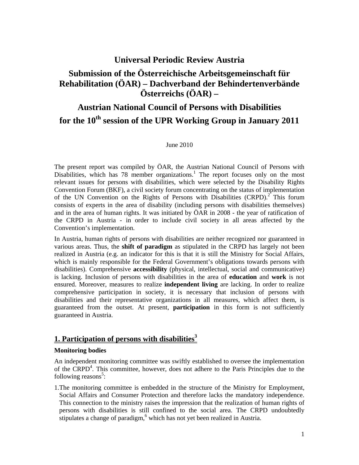## **Universal Periodic Review Austria**

# **Submission of the Österreichische Arbeitsgemeinschaft für Rehabilitation (ÖAR) – Dachverband der Behindertenverbände Österreichs (ÖAR) –**

# **Austrian National Council of Persons with Disabilities for the 10th session of the UPR Working Group in January 2011**

#### June 2010

The present report was compiled by ÖAR, the Austrian National Council of Persons with Disabilities, which has 78 member organizations.<sup>1</sup> The report focuses only on the most relevant issues for persons with disabilities, which were selected by the Disability Rights Convention Forum (BKF), a civil society forum concentrating on the status of implementation of the UN Convention on the Rights of Persons with Disabilities  $(CRPD)<sup>2</sup>$  This forum consists of experts in the area of disability (including persons with disabilities themselves) and in the area of human rights. It was initiated by ÖAR in 2008 - the year of ratification of the CRPD in Austria - in order to include civil society in all areas affected by the Convention's implementation.

In Austria, human rights of persons with disabilities are neither recognized nor guaranteed in various areas. Thus, the **shift of paradigm** as stipulated in the CRPD has largely not been realized in Austria (e.g. an indicator for this is that it is still the Ministry for Social Affairs, which is mainly responsible for the Federal Government's obligations towards persons with disabilities). Comprehensive **accessibility** (physical, intellectual, social and communicative) is lacking. Inclusion of persons with disabilities in the area of **education** and **work** is not ensured. Moreover, measures to realize **independent living** are lacking. In order to realize comprehensive participation in society, it is necessary that inclusion of persons with disabilities and their representative organizations in all measures, which affect them, is guaranteed from the outset. At present, **participation** in this form is not sufficiently guaranteed in Austria.

## **1. Participation of persons with disabilities<sup>3</sup>**

#### **Monitoring bodies**

An independent monitoring committee was swiftly established to oversee the implementation of the CRPD<sup>4</sup>. This committee, however, does not adhere to the Paris Principles due to the following reasons<sup>5</sup>:

1.The monitoring committee is embedded in the structure of the Ministry for Employment, Social Affairs and Consumer Protection and therefore lacks the mandatory independence. This connection to the ministry raises the impression that the realization of human rights of persons with disabilities is still confined to the social area. The CRPD undoubtedly stipulates a change of paradigm,<sup>6</sup> which has not yet been realized in Austria.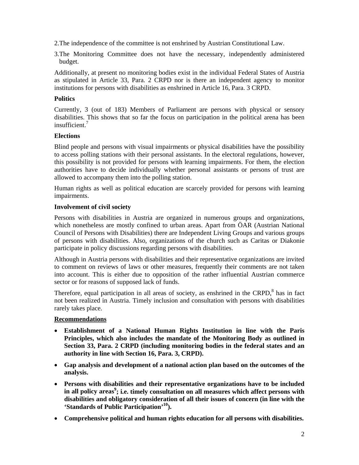2.The independence of the committee is not enshrined by Austrian Constitutional Law.

3.The Monitoring Committee does not have the necessary, independently administered budget.

Additionally, at present no monitoring bodies exist in the individual Federal States of Austria as stipulated in Article 33, Para. 2 CRPD nor is there an independent agency to monitor institutions for persons with disabilities as enshrined in Article 16, Para. 3 CRPD.

## **Politics**

Currently, 3 (out of 183) Members of Parliament are persons with physical or sensory disabilities. This shows that so far the focus on participation in the political arena has been insufficient.<sup>7</sup>

## **Elections**

Blind people and persons with visual impairments or physical disabilities have the possibility to access polling stations with their personal assistants. In the electoral regulations, however, this possibility is not provided for persons with learning impairments. For them, the election authorities have to decide individually whether personal assistants or persons of trust are allowed to accompany them into the polling station.

Human rights as well as political education are scarcely provided for persons with learning impairments.

## **Involvement of civil society**

Persons with disabilities in Austria are organized in numerous groups and organizations, which nonetheless are mostly confined to urban areas. Apart from ÖAR (Austrian National Council of Persons with Disabilities) there are Independent Living Groups and various groups of persons with disabilities. Also, organizations of the church such as Caritas or Diakonie participate in policy discussions regarding persons with disabilities.

Although in Austria persons with disabilities and their representative organizations are invited to comment on reviews of laws or other measures, frequently their comments are not taken into account. This is either due to opposition of the rather influential Austrian commerce sector or for reasons of supposed lack of funds.

Therefore, equal participation in all areas of society, as enshrined in the CRPD, $8$  has in fact not been realized in Austria. Timely inclusion and consultation with persons with disabilities rarely takes place.

## **Recommendations**

- **Establishment of a National Human Rights Institution in line with the Paris Principles, which also includes the mandate of the Monitoring Body as outlined in Section 33, Para. 2 CRPD (including monitoring bodies in the federal states and an authority in line with Section 16, Para. 3, CRPD).**
- **Gap analysis and development of a national action plan based on the outcomes of the analysis.**
- **Persons with disabilities and their representative organizations have to be included**  in all policy areas<sup>9</sup>; i.e. timely consultation on all measures which affect persons with **disabilities and obligatory consideration of all their issues of concern (in line with the 'Standards of Public Participation'10).**
- **Comprehensive political and human rights education for all persons with disabilities.**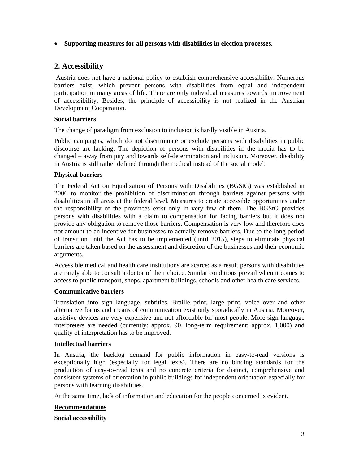#### • **Supporting measures for all persons with disabilities in election processes.**

## **2. Accessibility**

 Austria does not have a national policy to establish comprehensive accessibility. Numerous barriers exist, which prevent persons with disabilities from equal and independent participation in many areas of life. There are only individual measures towards improvement of accessibility. Besides, the principle of accessibility is not realized in the Austrian Development Cooperation.

#### **Social barriers**

The change of paradigm from exclusion to inclusion is hardly visible in Austria.

Public campaigns, which do not discriminate or exclude persons with disabilities in public discourse are lacking. The depiction of persons with disabilities in the media has to be changed – away from pity and towards self-determination and inclusion. Moreover, disability in Austria is still rather defined through the medical instead of the social model.

#### **Physical barriers**

The Federal Act on Equalization of Persons with Disabilities (BGStG) was established in 2006 to monitor the prohibition of discrimination through barriers against persons with disabilities in all areas at the federal level. Measures to create accessible opportunities under the responsibility of the provinces exist only in very few of them. The BGStG provides persons with disabilities with a claim to compensation for facing barriers but it does not provide any obligation to remove those barriers. Compensation is very low and therefore does not amount to an incentive for businesses to actually remove barriers. Due to the long period of transition until the Act has to be implemented (until 2015), steps to eliminate physical barriers are taken based on the assessment and discretion of the businesses and their economic arguments.

Accessible medical and health care institutions are scarce; as a result persons with disabilities are rarely able to consult a doctor of their choice. Similar conditions prevail when it comes to access to public transport, shops, apartment buildings, schools and other health care services.

#### **Communicative barriers**

Translation into sign language, subtitles, Braille print, large print, voice over and other alternative forms and means of communication exist only sporadically in Austria. Moreover, assistive devices are very expensive and not affordable for most people. More sign language interpreters are needed (currently: approx. 90, long-term requirement: approx. 1,000) and quality of interpretation has to be improved.

#### **Intellectual barriers**

In Austria, the backlog demand for public information in easy-to-read versions is exceptionally high (especially for legal texts). There are no binding standards for the production of easy-to-read texts and no concrete criteria for distinct, comprehensive and consistent systems of orientation in public buildings for independent orientation especially for persons with learning disabilities.

At the same time, lack of information and education for the people concerned is evident.

#### **Recommendations**

#### **Social accessibility**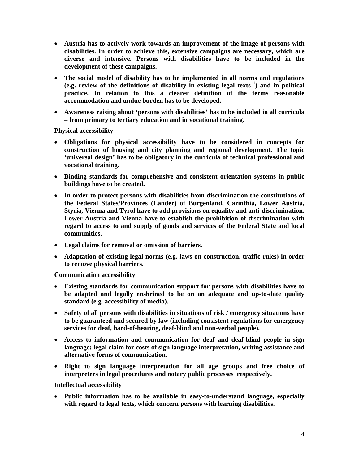- **Austria has to actively work towards an improvement of the image of persons with disabilities. In order to achieve this, extensive campaigns are necessary, which are diverse and intensive. Persons with disabilities have to be included in the development of these campaigns.**
- **The social model of disability has to be implemented in all norms and regulations (e.g. review of the definitions of disability in existing legal texts11) and in political practice. In relation to this a clearer definition of the terms reasonable accommodation and undue burden has to be developed.**
- **Awareness raising about 'persons with disabilities' has to be included in all curricula – from primary to tertiary education and in vocational training.**

**Physical accessibility** 

- **Obligations for physical accessibility have to be considered in concepts for construction of housing and city planning and regional development. The topic 'universal design' has to be obligatory in the curricula of technical professional and vocational training.**
- **Binding standards for comprehensive and consistent orientation systems in public buildings have to be created.**
- **In order to protect persons with disabilities from discrimination the constitutions of the Federal States/Provinces (Länder) of Burgenland, Carinthia, Lower Austria, Styria, Vienna and Tyrol have to add provisions on equality and anti-discrimination. Lower Austria and Vienna have to establish the prohibition of discrimination with regard to access to and supply of goods and services of the Federal State and local communities.**
- **Legal claims for removal or omission of barriers.**
- **Adaptation of existing legal norms (e.g. laws on construction, traffic rules) in order to remove physical barriers.**

**Communication accessibility** 

- **Existing standards for communication support for persons with disabilities have to be adapted and legally enshrined to be on an adequate and up-to-date quality standard (e.g. accessibility of media).**
- **Safety of all persons with disabilities in situations of risk / emergency situations have to be guaranteed and secured by law (including consistent regulations for emergency services for deaf, hard-of-hearing, deaf-blind and non-verbal people).**
- **Access to information and communication for deaf and deaf-blind people in sign language; legal claim for costs of sign language interpretation, writing assistance and alternative forms of communication.**
- **Right to sign language interpretation for all age groups and free choice of interpreters in legal procedures and notary public processes respectively.**

**Intellectual accessibility** 

• **Public information has to be available in easy-to-understand language, especially with regard to legal texts, which concern persons with learning disabilities.**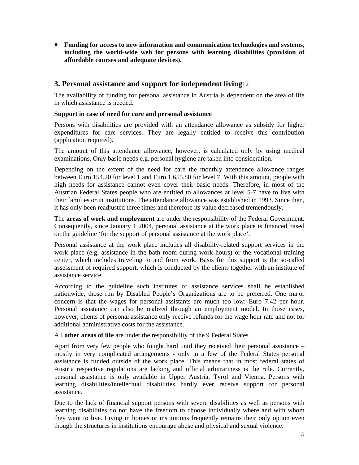• **Funding for access to new information and communication technologies and systems, including the world-wide web for persons with learning disabilities (provision of affordable courses and adequate devices).**

## **3. Personal assistance and support for independent living**12

The availability of funding for personal assistance in Austria is dependent on the area of life in which assistance is needed.

#### **Support in case of need for care and personal assistance**

Persons with disabilities are provided with an attendance allowance as subsidy for higher expenditures for care services. They are legally entitled to receive this contribution (application required).

The amount of this attendance allowance, however, is calculated only by using medical examinations. Only basic needs e.g. personal hygiene are taken into consideration.

Depending on the extent of the need for care the monthly attendance allowance ranges between Euro 154.20 for level 1 and Euro 1,655.80 for level 7. With this amount, people with high needs for assistance cannot even cover their basic needs. Therefore, in most of the Austrian Federal States people who are entitled to allowances at level 5-7 have to live with their families or in institutions. The attendance allowance was established in 1993. Since then, it has only been readjusted three times and therefore its value decreased tremendously.

The **areas of work and employment** are under the responsibility of the Federal Government. Consequently, since January 1 2004, personal assistance at the work place is financed based on the guideline 'for the support of personal assistance at the work place'.

Personal assistance at the work place includes all disability-related support services in the work place (e.g. assistance in the bath room during work hours) or the vocational training center, which includes traveling to and from work. Basis for this support is the so-called assessment of required support, which is conducted by the clients together with an institute of assistance service.

According to the guideline such institutes of assistance services shall be established nationwide, those run by Disabled People's Organizations are to be preferred. One major concern is that the wages for personal assistants are much too low: Euro 7.42 per hour. Personal assistance can also be realized through an employment model. In those cases, however, clients of personal assistance only receive refunds for the wage hour rate and not for additional administrative costs for the assistance.

All **other areas of life** are under the responsibility of the 9 Federal States.

Apart from very few people who fought hard until they received their personal assistance – mostly in very complicated arrangements - only in a few of the Federal States personal assistance is funded outside of the work place. This means that in most federal states of Austria respective regulations are lacking and official arbitrariness is the rule. Currently, personal assistance is only available in Upper Austria, Tyrol and Vienna. Persons with learning disabilities/intellectual disabilities hardly ever receive support for personal assistance.

Due to the lack of financial support persons with severe disabilities as well as persons with learning disabilities do not have the freedom to choose individually where and with whom they want to live. Living in homes or institutions frequently remains their only option even though the structures in institutions encourage abuse and physical and sexual violence.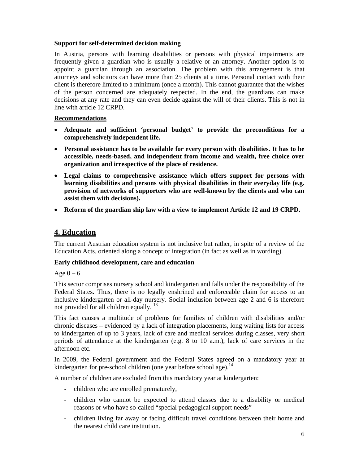#### **Support for self-determined decision making**

In Austria, persons with learning disabilities or persons with physical impairments are frequently given a guardian who is usually a relative or an attorney. Another option is to appoint a guardian through an association. The problem with this arrangement is that attorneys and solicitors can have more than 25 clients at a time. Personal contact with their client is therefore limited to a minimum (once a month). This cannot guarantee that the wishes of the person concerned are adequately respected. In the end, the guardians can make decisions at any rate and they can even decide against the will of their clients. This is not in line with article 12 CRPD.

## **Recommendations**

- **Adequate and sufficient 'personal budget' to provide the preconditions for a comprehensively independent life.**
- **Personal assistance has to be available for every person with disabilities. It has to be accessible, needs-based, and independent from income and wealth, free choice over organization and irrespective of the place of residence.**
- **Legal claims to comprehensive assistance which offers support for persons with learning disabilities and persons with physical disabilities in their everyday life (e.g. provision of networks of supporters who are well-known by the clients and who can assist them with decisions).**
- **Reform of the guardian ship law with a view to implement Article 12 and 19 CRPD.**

## **4. Education**

The current Austrian education system is not inclusive but rather, in spite of a review of the Education Acts, oriented along a concept of integration (in fact as well as in wording).

## **Early childhood development, care and education**

Age  $0 - 6$ 

This sector comprises nursery school and kindergarten and falls under the responsibility of the Federal States. Thus, there is no legally enshrined and enforceable claim for access to an inclusive kindergarten or all-day nursery. Social inclusion between age 2 and 6 is therefore not provided for all children equally.<sup>13</sup>

This fact causes a multitude of problems for families of children with disabilities and/or chronic diseases – evidenced by a lack of integration placements, long waiting lists for access to kindergarten of up to 3 years, lack of care and medical services during classes, very short periods of attendance at the kindergarten (e.g. 8 to 10 a.m.), lack of care services in the afternoon etc.

In 2009, the Federal government and the Federal States agreed on a mandatory year at kindergarten for pre-school children (one year before school age).<sup>14</sup>

A number of children are excluded from this mandatory year at kindergarten:

- children who are enrolled prematurely,
- children who cannot be expected to attend classes due to a disability or medical reasons or who have so-called "special pedagogical support needs"
- children living far away or facing difficult travel conditions between their home and the nearest child care institution.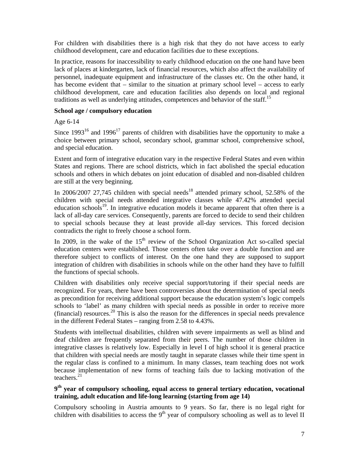For children with disabilities there is a high risk that they do not have access to early childhood development, care and education facilities due to these exceptions.

In practice, reasons for inaccessibility to early childhood education on the one hand have been lack of places at kindergarten, lack of financial resources, which also affect the availability of personnel, inadequate equipment and infrastructure of the classes etc. On the other hand, it has become evident that – similar to the situation at primary school level – access to early childhood development, care and education facilities also depends on local and regional traditions as well as underlying attitudes, competences and behavior of the staff.15

#### **School age / compulsory education**

Age 6-14

Since  $1993^{16}$  and  $1996^{17}$  parents of children with disabilities have the opportunity to make a choice between primary school, secondary school, grammar school, comprehensive school, and special education.

Extent and form of integrative education vary in the respective Federal States and even within States and regions. There are school districts, which in fact abolished the special education schools and others in which debates on joint education of disabled and non-disabled children are still at the very beginning.

In 2006/2007 27,745 children with special needs<sup>18</sup> attended primary school, 52.58% of the children with special needs attended integrative classes while 47.42% attended special education schools<sup>19</sup>. In integrative education models it became apparent that often there is a lack of all-day care services. Consequently, parents are forced to decide to send their children to special schools because they at least provide all-day services. This forced decision contradicts the right to freely choose a school form.

In 2009, in the wake of the  $15<sup>th</sup>$  review of the School Organization Act so-called special education centers were established. Those centers often take over a double function and are therefore subject to conflicts of interest. On the one hand they are supposed to support integration of children with disabilities in schools while on the other hand they have to fulfill the functions of special schools.

Children with disabilities only receive special support/tutoring if their special needs are recognized. For years, there have been controversies about the determination of special needs as precondition for receiving additional support because the education system's logic compels schools to 'label' as many children with special needs as possible in order to receive more (financial) resources.<sup>20</sup> This is also the reason for the differences in special needs prevalence in the different Federal States – ranging from 2.58 to 4.43%.

Students with intellectual disabilities, children with severe impairments as well as blind and deaf children are frequently separated from their peers. The number of those children in integrative classes is relatively low. Especially in level I of high school it is general practice that children with special needs are mostly taught in separate classes while their time spent in the regular class is confined to a minimum. In many classes, team teaching does not work because implementation of new forms of teaching fails due to lacking motivation of the teachers.21

## **9th year of compulsory schooling, equal access to general tertiary education, vocational training, adult education and life-long learning (starting from age 14)**

Compulsory schooling in Austria amounts to 9 years. So far, there is no legal right for children with disabilities to access the  $9<sup>th</sup>$  year of compulsory schooling as well as to level II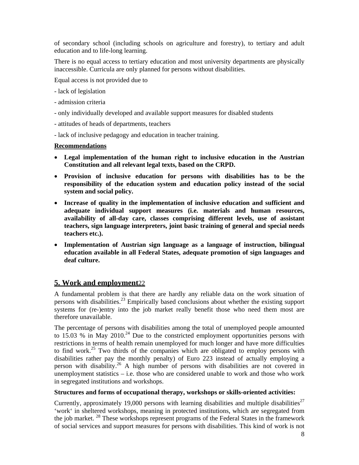of secondary school (including schools on agriculture and forestry), to tertiary and adult education and to life-long learning.

There is no equal access to tertiary education and most university departments are physically inaccessible. Curricula are only planned for persons without disabilities.

Equal access is not provided due to

- lack of legislation
- admission criteria
- only individually developed and available support measures for disabled students
- attitudes of heads of departments, teachers
- lack of inclusive pedagogy and education in teacher training.

#### **Recommendations**

- **Legal implementation of the human right to inclusive education in the Austrian Constitution and all relevant legal texts, based on the CRPD.**
- **Provision of inclusive education for persons with disabilities has to be the responsibility of the education system and education policy instead of the social system and social policy.**
- **Increase of quality in the implementation of inclusive education and sufficient and adequate individual support measures (i.e. materials and human resources, availability of all-day care, classes comprising different levels, use of assistant teachers, sign language interpreters, joint basic training of general and special needs teachers etc.).**
- **Implementation of Austrian sign language as a language of instruction, bilingual education available in all Federal States, adequate promotion of sign languages and deaf culture.**

## **5. Work and employment**22

A fundamental problem is that there are hardly any reliable data on the work situation of persons with disabilities.23 Empirically based conclusions about whether the existing support systems for (re-)entry into the job market really benefit those who need them most are therefore unavailable.

The percentage of persons with disabilities among the total of unemployed people amounted to 15.03 % in May 2010.<sup>24</sup> Due to the constricted employment opportunities persons with restrictions in terms of health remain unemployed for much longer and have more difficulties to find work.<sup>25</sup> Two thirds of the companies which are obligated to employ persons with disabilities rather pay the monthly penalty) of Euro 223 instead of actually employing a person with disability.26 A high number of persons with disabilities are not covered in unemployment statistics – i.e. those who are considered unable to work and those who work in segregated institutions and workshops.

## **Structures and forms of occupational therapy, workshops or skills-oriented activities:**

Currently, approximately 19,000 persons with learning disabilities and multiple disabilities<sup>27</sup> 'work' in sheltered workshops, meaning in protected institutions, which are segregated from the job market. 28 These workshops represent programs of the Federal States in the framework of social services and support measures for persons with disabilities. This kind of work is not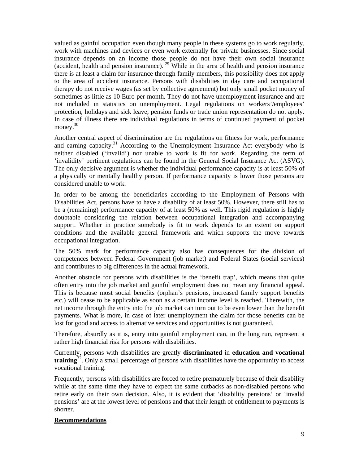valued as gainful occupation even though many people in these systems go to work regularly, work with machines and devices or even work externally for private businesses. Since social insurance depends on an income those people do not have their own social insurance (accident, health and pension insurance).  $29^{\circ}$  While in the area of health and pension insurance there is at least a claim for insurance through family members, this possibility does not apply to the area of accident insurance. Persons with disabilities in day care and occupational therapy do not receive wages (as set by collective agreement) but only small pocket money of sometimes as little as 10 Euro per month. They do not have unemployment insurance and are not included in statistics on unemployment. Legal regulations on workers'/employees' protection, holidays and sick leave, pension funds or trade union representation do not apply. In case of illness there are individual regulations in terms of continued payment of pocket money.<sup>30</sup>

Another central aspect of discrimination are the regulations on fitness for work, performance and earning capacity. $31$  According to the Unemployment Insurance Act everybody who is neither disabled ('invalid') nor unable to work is fit for work. Regarding the term of 'invalidity' pertinent regulations can be found in the General Social Insurance Act (ASVG). The only decisive argument is whether the individual performance capacity is at least 50% of a physically or mentally healthy person. If performance capacity is lower those persons are considered unable to work.

In order to be among the beneficiaries according to the Employment of Persons with Disabilities Act, persons have to have a disability of at least 50%. However, there still has to be a (remaining) performance capacity of at least 50% as well. This rigid regulation is highly doubtable considering the relation between occupational integration and accompanying support. Whether in practice somebody is fit to work depends to an extent on support conditions and the available general framework and which supports the move towards occupational integration.

The 50% mark for performance capacity also has consequences for the division of competences between Federal Government (job market) and Federal States (social services) and contributes to big differences in the actual framework.

Another obstacle for persons with disabilities is the 'benefit trap', which means that quite often entry into the job market and gainful employment does not mean any financial appeal. This is because most social benefits (orphan's pensions, increased family support benefits etc.) will cease to be applicable as soon as a certain income level is reached. Therewith, the net income through the entry into the job market can turn out to be even lower than the benefit payments. What is more, in case of later unemployment the claim for those benefits can be lost for good and access to alternative services and opportunities is not guaranteed.

Therefore, absurdly as it is, entry into gainful employment can, in the long run, represent a rather high financial risk for persons with disabilities.

Currently, persons with disabilities are greatly **discriminated** in **education and vocational training**32. Only a small percentage of persons with disabilities have the opportunity to access vocational training.

Frequently, persons with disabilities are forced to retire prematurely because of their disability while at the same time they have to expect the same cutbacks as non-disabled persons who retire early on their own decision. Also, it is evident that 'disability pensions' or 'invalid pensions' are at the lowest level of pensions and that their length of entitlement to payments is shorter.

#### **Recommendations**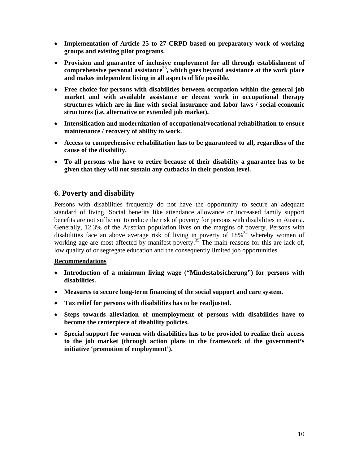- **Implementation of Article 25 to 27 CRPD based on preparatory work of working groups and existing pilot programs.**
- **Provision and guarantee of inclusive employment for all through establishment of comprehensive personal assistance**<sup>33</sup>**, which goes beyond assistance at the work place and makes independent living in all aspects of life possible.**
- **Free choice for persons with disabilities between occupation within the general job market and with available assistance or decent work in occupational therapy structures which are in line with social insurance and labor laws / social-economic structures (i.e. alternative or extended job market).**
- **Intensification and modernization of occupational/vocational rehabilitation to ensure maintenance / recovery of ability to work.**
- **Access to comprehensive rehabilitation has to be guaranteed to all, regardless of the cause of the disability.**
- **To all persons who have to retire because of their disability a guarantee has to be given that they will not sustain any cutbacks in their pension level.**

## **6. Poverty and disability**

Persons with disabilities frequently do not have the opportunity to secure an adequate standard of living. Social benefits like attendance allowance or increased family support benefits are not sufficient to reduce the risk of poverty for persons with disabilities in Austria. Generally, 12.3% of the Austrian population lives on the margins of poverty. Persons with disabilities face an above average risk of living in poverty of  $18\%$ <sup>34</sup> whereby women of working age are most affected by manifest poverty.<sup>35</sup> The main reasons for this are lack of, low quality of or segregate education and the consequently limited job opportunities.

## **Recommendations**

- **Introduction of a minimum living wage ("Mindestabsicherung") for persons with disabilities.**
- **Measures to secure long-term financing of the social support and care system.**
- **Tax relief for persons with disabilities has to be readjusted.**
- **Steps towards alleviation of unemployment of persons with disabilities have to become the centerpiece of disability policies.**
- **Special support for women with disabilities has to be provided to realize their access to the job market (through action plans in the framework of the government's initiative 'promotion of employment').**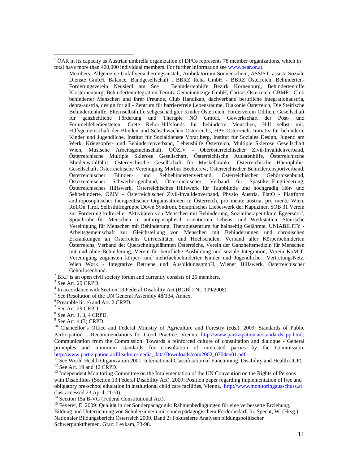Members: Allgemeine Unfallversicherungsanstalt, Ambulatorium Sonnenschein, ASSIST, assista Soziale Dienste GmbH, Balance, Bandgesellschaft , BBRZ Reha GmbH - BBRZ Österreich, Behinderten-Förderungsverein Neusiedl am See , Behindertenhilfe Bezirk Korneuburg, Behindertenhilfe Klosterneuburg, Behindertenintegration Ternitz Gemeinnützige GmbH, Caritas Österreich, CBMF - Club behinderter Menschen und ihrer Freunde, Club Handikap, dachverband berufliche integrationaustria, debra-austria, design for all - Zentrum für barrierefreie Lebensräume, Diakonie Österreich, Die Steirische Behindertenhilfe, Elternselbsthilfe sehgeschädigter Kinder Österreich, Förderverein Odilien, Gesellschaft für ganzheitliche Förderung und Therapie NÖ GmbH, Gewerkschaft der Post- und Fernmeldebediensteten, Grete Rehor-Hilfsfonds für behinderte Menschen, Hilf selbst mit, Hilfsgemeinschaft der Blinden und Sehschwachen Österreichs, HPE-Österreich, Initiativ für behinderte Kinder und Jugendliche, Institut für Sozialdienste Vorarlberg, Institut für Soziales Design, Jugend am Werk, Kriegsopfer- und Behindertenverband, Lebenshilfe Österreich, Multiple Sklerose Gesellschaft Wien, Musische Arbeitsgemeinschaft, OÖZIV - Oberösterreichischer Zivil-Invalidenverband, Österreichische Multiple Sklerose Gesellschaft, Österreichische Autistenhilfe, Österreichische Blindenwohlfahrt, Österreichische Gesellschaft für Muskelkranke, Österreichische Hämophilie-Gesellschaft, Österreichische Vereinigung Morbus Bechterew, Österreichischer Behindertensportverband, Österreichischer Blinden- und Sehbehindertenverband, Österreichischer Gehörlosenbund, Österreichischer Schwerhörigenbund, Österreichischer, Verband für Spastiker-Eingliederung, Österreichisches Hilfswerk, Österreichisches Hilfswerk für Taubblinde und hochgradig Hör- und Sehbehinderte, ÖZIV - Österreichischer Zivil-Invalidenverband, Physio Austria, PlatO - Plattform anthroposophischer therapeutischer Organisationen in Österreich, pro mente austria, pro mente Wien, RollOn Tirol, Selbsthilfegruppe Down Syndrom, Seraphisches Liebeswerk der Kapuziner, SOB 31 Verein zur Förderung kultureller Aktivitäten von Menschen mit Behinderung, Sozialtherapeutikum Eggersdorf, Sprachrohr für Menschen in anthroposophisch orientierten Lebens- und Werkstätten, Steirische Vereinigung für Menschen mit Behinderung, Therapiezentrum für halbseitig Gelähmte, UNIABILITY - Arbeitsgemeinschaft zur Gleichstellung von Menschen mit Behinderungen und chronischen Erkrankungen an Österreichs Universitäten und Hochschulen, Verband aller Körperbehinderten Österreichs, Verband der Querschnittgelähmten Österreichs, Verein der Ganzheitsmedizin für Menschen mit und ohne Behinderung, Verein für berufliche Ausbildung und soziale Integration, Verein KoMiT, Vereinigung zugunsten körper- und mehrfachbehinderter Kinder und Jugendlicher, VertretungsNetz, Wien Work - Integrative Betriebe und AusbildungsgmbH, Wiener Hilfswerk, Österreichischer Gehörlosenbund.

 $2$  BKF is an open civil society forum and currently consists of 25 members.

 $3$  See Art. 29 CRPD.

 $\overline{a}$ 

<sup>4</sup> In accordance with Section 13 Federal Disability Act (BGBI I Nr. 109/2008).

<sup>5</sup> See Resolution of the UN General Assembly 48/134, Annex.

8 See Art. 1, 3, 4 CRPD.

 $9^9$  See Art. 4 (3) CRPD.

<sup>10</sup> Chancellor's Office and Federal Ministry of Agriculture and Forestry (eds.). 2009: Standards of Public Participation – Recommendations for Good Practice. Vienna. http://www.partizipation.at/standards\_pp.html; Communication from the Commission. Towards a reinforced culture of consultation and dialogue - General principles and minimum standards for consultation of interested parties by the Commission. http://www.partizipation.at/fileadmin/media\_data/Downloads/com2002\_0704en01.pdf

<sup>11</sup> See World Health Organization 2001, International Classification of Functioning, Disability and Health (ICF).  $12$  See Art. 19 and 12 CRPD.

<sup>13</sup> Independent Monitoring Committee on the Implementation of the UN Convention on the Rights of Persons with Disabilities (Section 13 Federal Disability Act). 2009: Position paper regarding implementation of free and obligatory pre-school education in institutional child care facilities, Vienna. http://www.monitoringausschuss.at (last accessed 23 April, 2010).

 $14$  Section 15a B-VG (Federal Constitutional Act).

<sup>15</sup> Feyerer, E. 2009: Qualität in der Sonderpädagogik: Rahmenbedingungen für eine verbesserte Erziehung, Bildung und Unterrichtung von Schüler/inne/n mit sonderpädagogischem Förderbedarf. In. Specht, W. (Hrsg.): Nationaler Bildungsbericht Österreich 2009. Band 2: Fokussierte Analysen bildungspolitischer Schwerpunktthemen. Graz: Leykam, 73-98.

<sup>&</sup>lt;sup>1</sup> ÖAR in its capacity as Austrian umbrella organization of DPOs represents 78 member organizations, which in total have more than 400,000 individual members. For further information see www.oear.or.at.

<sup>6</sup> Preamble lit. e) and Art. 2 CRPD.

<sup>7</sup> See Art. 29 CRPD.